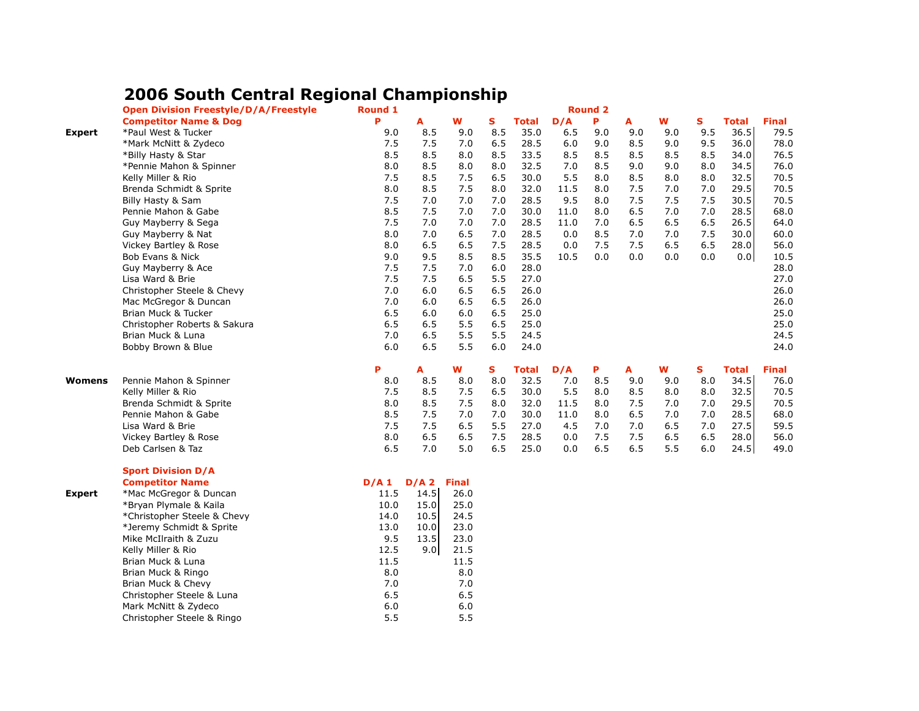## **2006 South Central Regional Championship**

|               | <b>Open Division Freestyle/D/A/Freestyle</b> | Round 1 | <b>Round 2</b> |              |     |              |         |     |     |     |     |              |              |
|---------------|----------------------------------------------|---------|----------------|--------------|-----|--------------|---------|-----|-----|-----|-----|--------------|--------------|
|               | <b>Competitor Name &amp; Dog</b>             | P       | A              | W            | S   | <b>Total</b> | D/A     | P   | A   | W   | S   | <b>Total</b> | <b>Final</b> |
| Expert        | *Paul West & Tucker                          | 9.0     | 8.5            | 9.0          | 8.5 | 35.0         | 6.5     | 9.0 | 9.0 | 9.0 | 9.5 | 36.5         | 79.5         |
|               | *Mark McNitt & Zydeco                        | 7.5     | 7.5            | 7.0          | 6.5 | 28.5         | 6.0     | 9.0 | 8.5 | 9.0 | 9.5 | 36.0         | 78.0         |
|               | *Billy Hasty & Star                          | 8.5     | 8.5            | 8.0          | 8.5 | 33.5         | 8.5     | 8.5 | 8.5 | 8.5 | 8.5 | 34.0         | 76.5         |
|               | *Pennie Mahon & Spinner                      | 8.0     | 8.5            | 8.0          | 8.0 | 32.5         | 7.0     | 8.5 | 9.0 | 9.0 | 8.0 | 34.5         | 76.0         |
|               | Kelly Miller & Rio                           | 7.5     | 8.5            | 7.5          | 6.5 | 30.0         | 5.5     | 8.0 | 8.5 | 8.0 | 8.0 | 32.5         | 70.5         |
|               | Brenda Schmidt & Sprite                      | 8.0     | 8.5            | 7.5          | 8.0 | 32.0         | 11.5    | 8.0 | 7.5 | 7.0 | 7.0 | 29.5         | 70.5         |
|               | Billy Hasty & Sam                            | 7.5     | 7.0            | 7.0          | 7.0 | 28.5         | 9.5     | 8.0 | 7.5 | 7.5 | 7.5 | 30.5         | 70.5         |
|               | Pennie Mahon & Gabe                          | 8.5     | 7.5            | 7.0          | 7.0 | 30.0         | 11.0    | 8.0 | 6.5 | 7.0 | 7.0 | 28.5         | 68.0         |
|               | Guy Mayberry & Sega                          | 7.5     | 7.0            | 7.0          | 7.0 | 28.5         | 11.0    | 7.0 | 6.5 | 6.5 | 6.5 | 26.5         | 64.0         |
|               | Guy Mayberry & Nat                           | 8.0     | 7.0            | 6.5          | 7.0 | 28.5         | 0.0     | 8.5 | 7.0 | 7.0 | 7.5 | 30.0         | 60.0         |
|               | Vickey Bartley & Rose                        | 8.0     | 6.5            | 6.5          | 7.5 | 28.5         | 0.0     | 7.5 | 7.5 | 6.5 | 6.5 | 28.0         | 56.0         |
|               | Bob Evans & Nick                             | 9.0     | 9.5            | 8.5          | 8.5 | 35.5         | 10.5    | 0.0 | 0.0 | 0.0 | 0.0 | 0.0          | 10.5         |
|               | Guy Mayberry & Ace                           | 7.5     | 7.5            | 7.0          | 6.0 | 28.0         |         |     |     |     |     |              | 28.0         |
|               | Lisa Ward & Brie                             | 7.5     | 7.5            | 6.5          | 5.5 | 27.0         |         |     |     |     |     |              | 27.0         |
|               | Christopher Steele & Chevy                   | 7.0     | 6.0            | 6.5          | 6.5 | 26.0         |         |     |     |     |     |              | 26.0         |
|               | Mac McGregor & Duncan                        | 7.0     | 6.0            | 6.5          | 6.5 | 26.0         |         |     |     |     |     |              | 26.0         |
|               | Brian Muck & Tucker                          | 6.5     | 6.0            | 6.0          | 6.5 | 25.0         |         |     |     |     |     |              | 25.0         |
|               | Christopher Roberts & Sakura                 | 6.5     | 6.5            | 5.5          | 6.5 | 25.0         |         |     |     |     |     |              | 25.0         |
|               | Brian Muck & Luna                            | 7.0     | 6.5            | 5.5          | 5.5 | 24.5         |         |     |     |     |     |              | 24.5         |
|               | Bobby Brown & Blue                           | 6.0     | 6.5            | 5.5          | 6.0 | 24.0         |         |     |     |     |     |              | 24.0         |
|               |                                              |         |                |              |     |              |         |     |     |     |     |              |              |
|               |                                              | P       | A              | W            | s   | <b>Total</b> | D/A     | P   | A   | W   | S   | <b>Total</b> | <b>Final</b> |
| Womens        | Pennie Mahon & Spinner                       | 8.0     | 8.5            | 8.0          | 8.0 | 32.5         | 7.0     | 8.5 | 9.0 | 9.0 | 8.0 | 34.5         | 76.0         |
|               | Kelly Miller & Rio                           | 7.5     | 8.5            | 7.5          | 6.5 | 30.0         | $5.5\,$ | 8.0 | 8.5 | 8.0 | 8.0 | 32.5         | 70.5         |
|               | Brenda Schmidt & Sprite                      | 8.0     | 8.5            | 7.5          | 8.0 | 32.0         | 11.5    | 8.0 | 7.5 | 7.0 | 7.0 | 29.5         | 70.5         |
|               | Pennie Mahon & Gabe                          | 8.5     | 7.5            | 7.0          | 7.0 | 30.0         | 11.0    | 8.0 | 6.5 | 7.0 | 7.0 | 28.5         | 68.0         |
|               | Lisa Ward & Brie                             | 7.5     | 7.5            | 6.5          | 5.5 | 27.0         | 4.5     | 7.0 | 7.0 | 6.5 | 7.0 | 27.5         | 59.5         |
|               | Vickey Bartley & Rose                        | 8.0     | 6.5            | 6.5          | 7.5 | 28.5         | 0.0     | 7.5 | 7.5 | 6.5 | 6.5 | 28.0         | 56.0         |
|               | Deb Carlsen & Taz                            | 6.5     | 7.0            | 5.0          | 6.5 | 25.0         | 0.0     | 6.5 | 6.5 | 5.5 | 6.0 | 24.5         | 49.0         |
|               |                                              |         |                |              |     |              |         |     |     |     |     |              |              |
|               | <b>Sport Division D/A</b>                    |         |                |              |     |              |         |     |     |     |     |              |              |
|               | <b>Competitor Name</b>                       | D/A1    | $D/A$ 2        | <b>Final</b> |     |              |         |     |     |     |     |              |              |
| <b>Expert</b> | *Mac McGregor & Duncan                       | 11.5    | 14.5           | 26.0         |     |              |         |     |     |     |     |              |              |
|               | *Bryan Plymale & Kaila                       | 10.0    | 15.0           | 25.0         |     |              |         |     |     |     |     |              |              |
|               | *Christopher Steele & Chevy                  | 14.0    | 10.5           | 24.5         |     |              |         |     |     |     |     |              |              |
|               | *Jeremy Schmidt & Sprite                     | 13.0    | 10.0           | 23.0         |     |              |         |     |     |     |     |              |              |
|               | Mike McIlraith & Zuzu                        | 9.5     | 13.5           | 23.0         |     |              |         |     |     |     |     |              |              |
|               | Kelly Miller & Rio                           | 12.5    | 9.0            | 21.5         |     |              |         |     |     |     |     |              |              |
|               | Brian Muck & Luna                            | 11.5    |                | 11.5         |     |              |         |     |     |     |     |              |              |
|               | Brian Muck & Ringo                           | 8.0     |                | 8.0          |     |              |         |     |     |     |     |              |              |
|               | Brian Muck & Chevy                           | 7.0     |                | 7.0          |     |              |         |     |     |     |     |              |              |
|               | Christopher Steele & Luna                    | 6.5     |                | 6.5          |     |              |         |     |     |     |     |              |              |
|               | Mark McNitt & Zydeco                         | 6.0     |                | 6.0          |     |              |         |     |     |     |     |              |              |
|               | Christopher Steele & Ringo                   | 5.5     |                | 5.5          |     |              |         |     |     |     |     |              |              |
|               |                                              |         |                |              |     |              |         |     |     |     |     |              |              |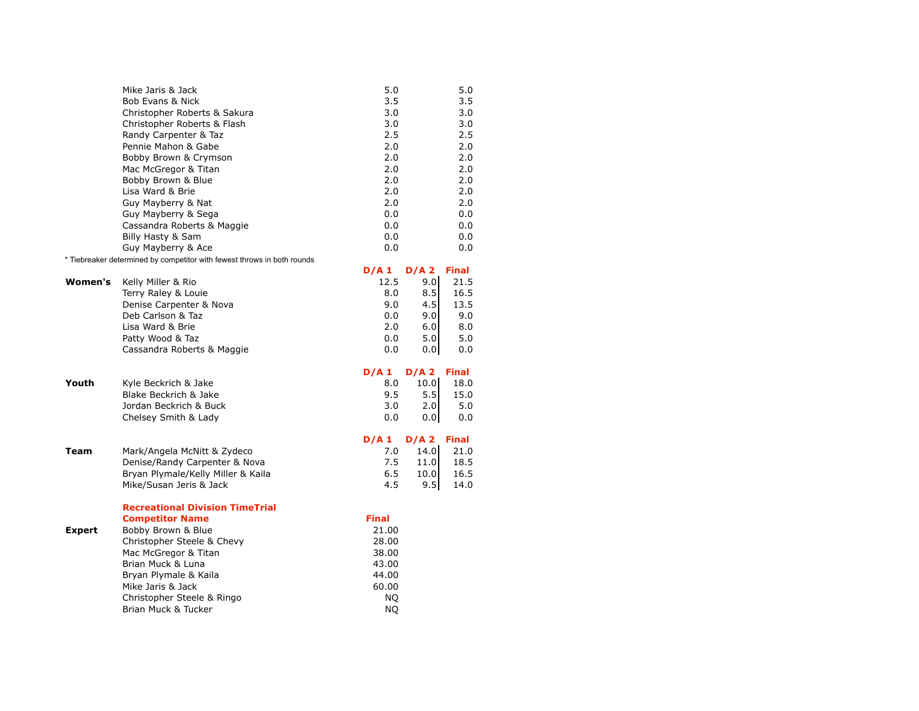|               | Mike Jaris & Jack                                                       | 5.0          |         | 5.0          |
|---------------|-------------------------------------------------------------------------|--------------|---------|--------------|
|               | Bob Evans & Nick                                                        | 3.5          |         | 3.5          |
|               | Christopher Roberts & Sakura                                            | 3.0          |         | 3.0          |
|               | Christopher Roberts & Flash                                             | 3.0          |         | 3.0          |
|               | Randy Carpenter & Taz                                                   | 2.5          |         | 2.5          |
|               | Pennie Mahon & Gabe                                                     | 2.0          |         | 2.0          |
|               | Bobby Brown & Crymson                                                   | 2.0          |         | 2.0          |
|               | Mac McGregor & Titan                                                    | 2.0          |         | 2.0          |
|               | Bobby Brown & Blue                                                      | 2.0          |         | 2.0          |
|               | Lisa Ward & Brie                                                        | 2.0          |         | 2.0          |
|               | Guy Mayberry & Nat                                                      | 2.0          |         | 2.0          |
|               | Guy Mayberry & Sega                                                     | 0.0          |         | 0.0          |
|               | Cassandra Roberts & Maggie                                              | 0.0          |         | 0.0          |
|               | Billy Hasty & Sam                                                       | 0.0          |         | 0.0          |
|               | Guy Mayberry & Ace                                                      | 0.0          |         | 0.0          |
|               | * Tiebreaker determined by competitor with fewest throws in both rounds |              |         |              |
|               |                                                                         | D/A1         | $D/A$ 2 | <b>Final</b> |
| Women's       | Kelly Miller & Rio                                                      | 12.5         | 9.0     | 21.5         |
|               | Terry Raley & Louie                                                     | 8.0          | 8.5     | 16.5         |
|               | Denise Carpenter & Nova                                                 | 9.0          | 4.5     | 13.5         |
|               | Deb Carlson & Taz                                                       | 0.0          | 9.0     | 9.0          |
|               | Lisa Ward & Brie                                                        | 2.0          | 6.0     | 8.0          |
|               | Patty Wood & Taz                                                        | 0.0          | 5.0     | 5.0          |
|               | Cassandra Roberts & Maggie                                              | 0.0          | 0.0     | 0.0          |
|               |                                                                         |              |         |              |
|               |                                                                         | D/A1         | D/A2    | <b>Final</b> |
| Youth         | Kyle Beckrich & Jake                                                    | 8.0          | 10.0    | 18.0         |
|               | Blake Beckrich & Jake                                                   | 9.5          | 5.5     | 15.0         |
|               | Jordan Beckrich & Buck                                                  | 3.0          | 2.0     | 5.0          |
|               | Chelsey Smith & Lady                                                    | 0.0          | 0.01    | 0.0          |
|               |                                                                         |              |         |              |
|               |                                                                         | D/A1         | D/A2    | <b>Final</b> |
| <b>Team</b>   | Mark/Angela McNitt & Zydeco                                             | 7.0          | 14.0    | 21.0         |
|               | Denise/Randy Carpenter & Nova                                           | 7.5          | 11.0    | 18.5         |
|               | Bryan Plymale/Kelly Miller & Kaila                                      | 6.5          | 10.0    | 16.5         |
|               | Mike/Susan Jeris & Jack                                                 | 4.5          | 9.5     | 14.0         |
|               |                                                                         |              |         |              |
|               | <b>Recreational Division TimeTrial</b>                                  |              |         |              |
|               | <b>Competitor Name</b>                                                  | <b>Final</b> |         |              |
| <b>Expert</b> | Bobby Brown & Blue                                                      | 21.00        |         |              |
|               | Christopher Steele & Chevy                                              | 28.00        |         |              |
|               | Mac McGregor & Titan                                                    | 38.00        |         |              |
|               |                                                                         |              |         |              |
|               | Brian Muck & Luna                                                       | 43.00        |         |              |
|               | Bryan Plymale & Kaila                                                   | 44.00        |         |              |
|               | Mike Jaris & Jack                                                       | 60.00        |         |              |
|               | Christopher Steele & Ringo                                              | <b>NQ</b>    |         |              |